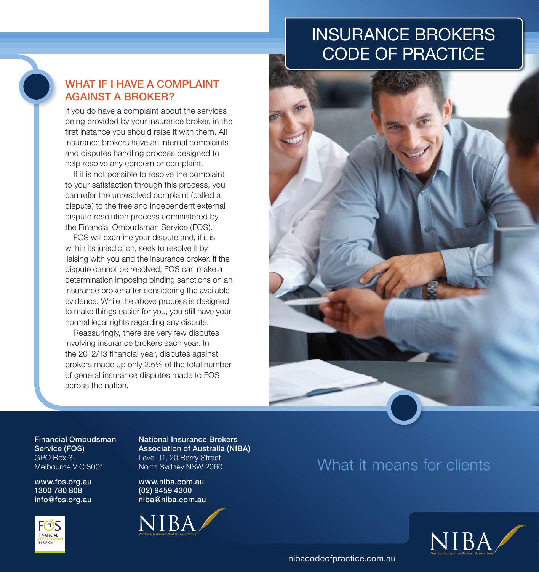# INSURANCE BROKERS CODE OF PRACTICE



### WHAT IF I HAVE A COMPLAINT AGAINST A BROKER?

If you do have a complaint about the services being provided by your insurance broker, in the first instance you should raise it with them. All insurance brokers have an internal complaints and disputes handling process designed to help resolve any concern or complaint.

If it is not possible to resolve the complaint to your satisfaction through this process, you can refer the unresolved complaint (called a dispute) to the free and independent external dispute resolution process administered by the Financial Ombudsman Service (FOS).

FOS will examine your dispute and, if it is within its jurisdiction, seek to resolve it by liaising with you and the insurance broker. If the dispute cannot be resolved, FOS can make a determination imposing binding sanctions on an insurance broker after considering the available evidence. While the above process is designed to make things easier for you, you still have your normal legal rights regarding any dispute.

Reassuringly, there are very few disputes involving insurance brokers each year. In the 2012/13 financial year, disputes against brokers made up only 2.5% of the total number of general insurance disputes made to FOS across the nation.



Financial Ombudsman Service (FOS) GPO Box 3, Melbourne VIC 3001

www.fos.org.au 1300 780 808 info@fos.org.au



National Insurance Brokers Association of Australia (NIBA) Level 11, 20 Berry Street North Sydney NSW 2060

www.niba.com.au (02) 9459 4300 niba@niba.com.au



## What it means for clients



nibacodeofpractice.com.au